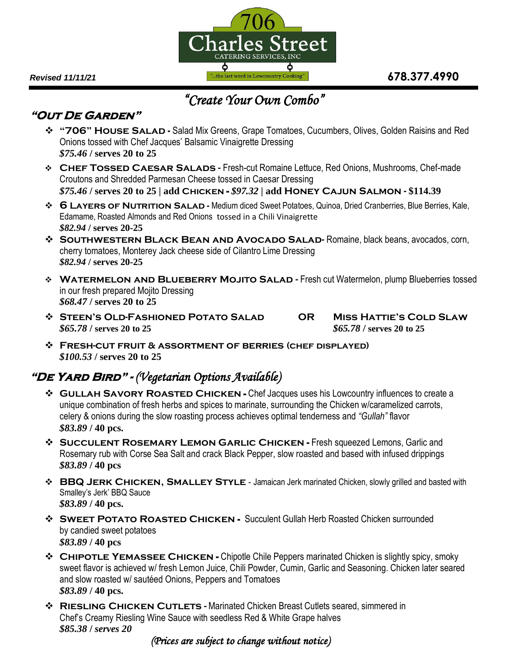

## **"Out De Garden"**

- **"706" House Salad -** Salad Mix Greens, Grape Tomatoes, Cucumbers, Olives, Golden Raisins and Red Onions tossed with Chef Jacques' Balsamic Vinaigrette Dressing *\$75.46* **/ serves 20 to 25**
- **Chef Tossed Caesar Salads** Fresh-cut Romaine Lettuce, Red Onions, Mushrooms, Chef-made Croutons and Shredded Parmesan Cheese tossed in Caesar Dressing *\$75.46* **/ serves 20 to 25 | add Chicken -** *\$97.32* **| add Honey Cajun Salmon - \$114.39**
- **6 Layers of Nutrition Salad -** Medium diced Sweet Potatoes, Quinoa, Dried Cranberries, Blue Berries, Kale, Edamame, Roasted Almonds and Red Onions tossed in a Chili Vinaigrette *\$82.94* **/ serves 20-25**
- **Southwestern Black Bean and Avocado Salad-** Romaine, black beans, avocados, corn, cherry tomatoes, Monterey Jack cheese side of Cilantro Lime Dressing *\$82.94* **/ serves 20-25**
- **WATERMELON AND BLUEBERRY MOJITO SALAD Fresh cut Watermelon, plump Blueberries tossed** in our fresh prepared Mojito Dressing *\$68.47* **/ serves 20 to 25**
- **Steen's Old-Fashioned Potato Salad OR Miss Hattie's Cold Slaw** *\$65.78* **/ serves 20 to 25** *\$65.78* **/ serves 20 to 25**

 **Fresh-cut fruit & assortment of berries (chef displayed)** *\$100.53* **/ serves 20 to 25**

## **"De Yard Bird" -** *(Vegetarian Options Available)*

- **GULLAH SAVORY ROASTED CHICKEN -** Chef Jacques uses his Lowcountry influences to create a unique combination of fresh herbs and spices to marinate, surrounding the Chicken w/caramelized carrots, celery & onions during the slow roasting process achieves optimal tenderness and *"Gullah"* flavor *\$83.89* **/ 40 pcs.**
- **Succulent Rosemary Lemon Garlic Chicken -** Fresh squeezed Lemons, Garlic and Rosemary rub with Corse Sea Salt and crack Black Pepper, slow roasted and based with infused drippings *\$83.89* **/ 40 pcs**
- **BBQ JERK CHICKEN, SMALLEY STYLE** Jamaican Jerk marinated Chicken, slowly grilled and basted with Smalley's Jerk' BBQ Sauce *\$83.89* **/ 40 pcs.**
- **SWEET POTATO ROASTED CHICKEN -** Succulent Gullah Herb Roasted Chicken surrounded by candied sweet potatoes *\$83.89* **/ 40 pcs**
- **Chipotle Yemassee Chicken -** Chipotle Chile Peppers marinated Chicken is slightly spicy, smoky sweet flavor is achieved w/ fresh Lemon Juice, Chili Powder, Cumin, Garlic and Seasoning. Chicken later seared and slow roasted w/ sautéed Onions, Peppers and Tomatoes *\$83.89* **/ 40 pcs.**
- **Riesling Chicken Cutlets -** Marinated Chicken Breast Cutlets seared, simmered in Chef's Creamy Riesling Wine Sauce with seedless Red & White Grape halves *\$85.38* **/** *serves 20*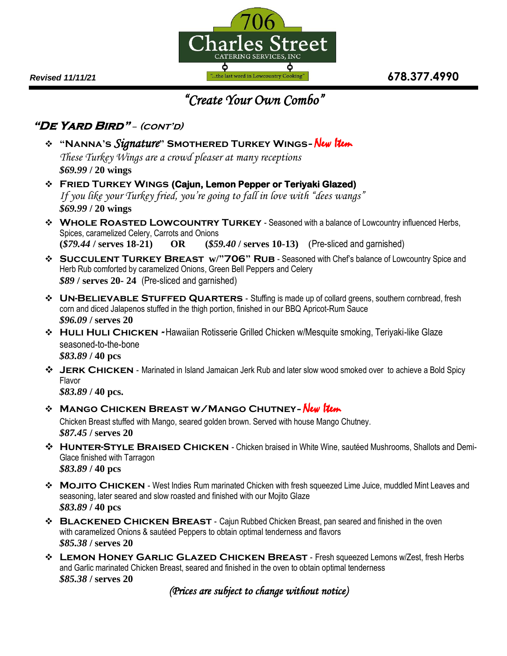

### **"De Yard Bird"** – **(cont'd)**

- **"Nanna's** *Signature***" Smothered Turkey Wings**New Item *These Turkey Wings are a crowd pleaser at many receptions \$69.99* **/ 20 wings**
- **Fried Turkey Wings (Cajun, Lemon Pepper or Teriyaki Glazed)** *If you like your Turkey fried, you're going to fall in love with "dees wangs" \$69.99* **/ 20 wings**
- **WHOLE ROASTED LOWCOUNTRY TURKEY** Seasoned with a balance of Lowcountry influenced Herbs, Spices, caramelized Celery, Carrots and Onions **(***\$79.44* **/ serves 18-21) OR (***\$59.40* **/ serves 10-13)** (Pre-sliced and garnished)
- **Succulent Turkey Breast w/"706" Rub**  Seasoned with Chef's balance of Lowcountry Spice and Herb Rub comforted by caramelized Onions, Green Bell Peppers and Celery *\$89* **/ serves 20- 24** (Pre-sliced and garnished)
- **UN-BELIEVABLE STUFFED QUARTERS** Stuffing is made up of collard greens, southern cornbread, fresh corn and diced Jalapenos stuffed in the thigh portion, finished in our BBQ Apricot-Rum Sauce *\$96.09* **/ serves 20**
- **\*** HULI HULI CHICKEN Hawaiian Rotisserie Grilled Chicken w/Mesquite smoking, Teriyaki-like Glaze seasoned-to-the-bone *\$83.89* **/ 40 pcs**
- **Jerk Chicken**  Marinated in Island Jamaican Jerk Rub and later slow wood smoked over to achieve a Bold Spicy Flavor

*\$83.89* **/ 40 pcs.**

## **Mango Chicken Breast w/Mango Chutney***-* New Item

Chicken Breast stuffed with Mango, seared golden brown. Served with house Mango Chutney. *\$87.45* **/ serves 20**

- **\*** HUNTER-STYLE BRAISED CHICKEN Chicken braised in White Wine, sautéed Mushrooms, Shallots and Demi-Glace finished with Tarragon *\$83.89* **/ 40 pcs**
- **Mojito Chicken**  West Indies Rum marinated Chicken with fresh squeezed Lime Juice, muddled Mint Leaves and seasoning, later seared and slow roasted and finished with our Mojito Glaze *\$83.89* **/ 40 pcs**
- **<sup>❖</sup> BLACKENED CHICKEN BREAST** Cajun Rubbed Chicken Breast, pan seared and finished in the oven with caramelized Onions & sautéed Peppers to obtain optimal tenderness and flavors *\$85.38* **/ serves 20**
- **Lemon Honey Garlic Glazed Chicken Breast** Fresh squeezed Lemons w/Zest, fresh Herbs and Garlic marinated Chicken Breast, seared and finished in the oven to obtain optimal tenderness *\$85.38* **/ serves 20**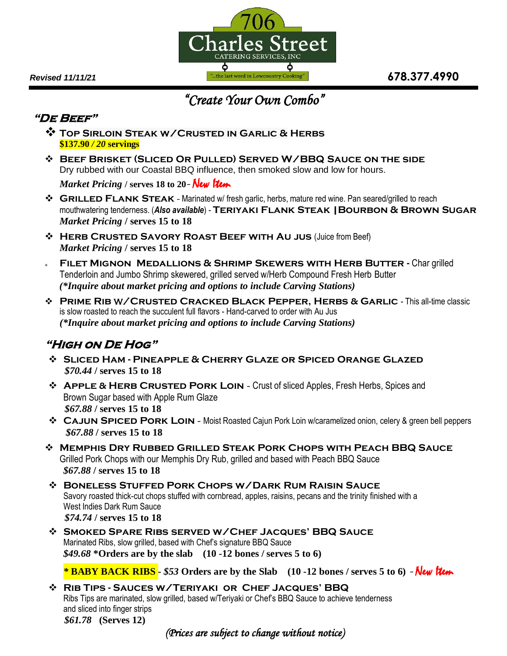

## **"De Beef"**

- **Top Sirloin Steak w/Crusted in Garlic & Herbs \$137.90** */ 20* **servings**
- **Beef Brisket (Sliced Or Pulled) Served W/BBQ Sauce on the side** Dry rubbed with our Coastal BBQ influence, then smoked slow and low for hours.

*Market Pricing* **/ serves 18 to 20***-* New Item

- **Grilled Flank Steak** Marinated w/ fresh garlic, herbs, mature red wine. Pan seared/grilled to reach mouthwatering tenderness. (*Also available*) - **Teriyaki Flank Steak |Bourbon & Brown Sugar** *Market Pricing* **/ serves 15 to 18**
- **EXAGTED SAVORY ROAST BEEF WITH AU JUS (Juice from Beef)** *Market Pricing* **/ serves 15 to 18**
- **FILET MIGNON MEDALLIONS & SHRIMP SKEWERS WITH HERB BUTTER Char grilled** Tenderloin and Jumbo Shrimp skewered, grilled served w/Herb Compound Fresh Herb Butter *(\*Inquire about market pricing and options to include Carving Stations)*
- **Prime Rib** w/**Crusted Cracked Black Pepper, Herbs & Garlic** *-* This all-time classic is slow roasted to reach the succulent full flavors - Hand-carved to order with Au Jus *(\*Inquire about market pricing and options to include Carving Stations)*

# **"High on De Hog"**

- **Sliced Ham - Pineapple & Cherry Glaze or Spiced Orange Glazed**  *\$70.44* **/ serves 15 to 18**
- **APPLE & HERB CRUSTED PORK LOIN** Crust of sliced Apples, Fresh Herbs, Spices and Brown Sugar based with Apple Rum Glaze  *\$67.88* **/ serves 15 to 18**
- **Cajun Spiced Pork Loin** Moist Roasted Cajun Pork Loin w/caramelized onion, celery & green bell peppers *\$67.88* **/ serves 15 to 18**
- **Memphis Dry Rubbed Grilled Steak Pork Chops with Peach BBQ Sauce** Grilled Pork Chops with our Memphis Dry Rub, grilled and based with Peach BBQ Sauce *\$67.88* **/ serves 15 to 18**
- **Boneless Stuffed Pork Chops w/Dark Rum Raisin Sauce** Savory roasted thick-cut chops stuffed with cornbread, apples, raisins, pecans and the trinity finished with a West Indies Dark Rum Sauce  *\$74.74* **/ serves 15 to 18**
- **Smoked Spare Ribs served w/Chef Jacques' BBQ Sauce** Marinated Ribs, slow grilled, based with Chef's signature BBQ Sauce *\$49.68* **\*Orders are by the slab (10 -12 bones / serves 5 to 6)**

*\** **BABY BACK RIBS -** *\$53* **Orders are by the Slab (10 -12 bones / serves 5 to 6)** *-* New Item

 **Rib Tips - Sauces w/Teriyaki or Chef Jacques' BBQ**  Ribs Tips are marinated, slow grilled, based w/Teriyaki or Chef's BBQ Sauce to achieve tenderness and sliced into finger strips *\$61.78* **(Serves 12)**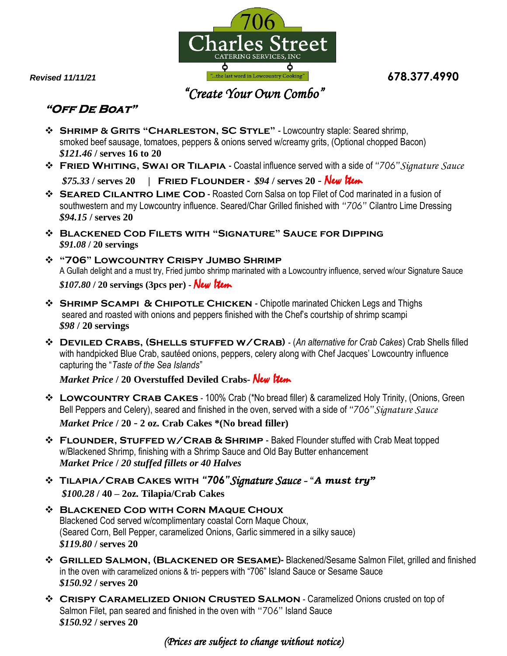

# **"Off De Boat"**

- **Shrimp & Grits "Charleston, SC Style"**  Lowcountry staple: Seared shrimp, smoked beef sausage, tomatoes, peppers & onions served w/creamy grits, (Optional chopped Bacon) *\$121.46* **/ serves 16 to 20**
- **Fried Whiting, Swai or Tilapia** Coastal influence served with a side of *"706"Signature Sauce \$75.33* **/ serves 20 | Fried Flounder -** *\$94* **/ serves 20** *-* New Item
- **SEARED CILANTRO LIME COD** Roasted Corn Salsa on top Filet of Cod marinated in a fusion of southwestern and my Lowcountry influence. Seared/Char Grilled finished with *"706"* Cilantro Lime Dressing *\$94.15* **/ serves 20**
- **Blackened Cod Filets with "Signature" Sauce for Dipping** *\$91.08* **/ 20 servings**
- **"706" Lowcountry Crispy Jumbo Shrimp**  A Gullah delight and a must try, Fried jumbo shrimp marinated with a Lowcountry influence, served w/our Signature Sauce *\$107.80* **/ 20 servings (3pcs per) -** New Item
- **Shrimp Scampi & Chipotle Chicken**  Chipotle marinated Chicken Legs and Thighs seared and roasted with onions and peppers finished with the Chef's courtship of shrimp scampi *\$98* **/ 20 servings**
- **Deviled Crabs, (Shells stuffed w/Crab)** (*An alternative for Crab Cakes*) Crab Shells filled with handpicked Blue Crab, sautéed onions, peppers, celery along with Chef Jacques' Lowcountry influence capturing the "*Taste of the Sea Islands*"

*Market Price* **/ 20 Overstuffed Deviled Crabs-** New Item

- **EXAGES 100%** CRAB CAKES 100% Crab (\*No bread filler) & caramelized Holy Trinity, (Onions, Green Bell Peppers and Celery), seared and finished in the oven, served with a side of *"706"Signature Sauce Market Price* **/ 20** *-* **2 oz. Crab Cakes \*(No bread filler)**
- **Flounder, Stuffed** w/**Crab & Shrimp** Baked Flounder stuffed with Crab Meat topped w/Blackened Shrimp, finishing with a Shrimp Sauce and Old Bay Butter enhancement *Market Price* **/** *20 stuffed fillets or 40 Halves*
- **Tilapia/Crab Cakes with** *"706"Signature Sauce -* "*A must try" \$100.28* **/ 40 – 2oz. Tilapia/Crab Cakes**
- **Blackened Cod with Corn Maque Choux** Blackened Cod served w/complimentary coastal Corn Maque Choux, (Seared Corn, Bell Pepper, caramelized Onions, Garlic simmered in a silky sauce) *\$119.80* **/ serves 20**
- **GRILLED SALMON, (BLACKENED OR SESAME)-** Blackened/Sesame Salmon Filet, grilled and finished in the oven with caramelized onions & tri- peppers with "706" Island Sauce or Sesame Sauce *\$150.92* **/ serves 20**
- **CRISPY CARAMELIZED ONION CRUSTED SALMON Caramelized Onions crusted on top of** Salmon Filet, pan seared and finished in the oven with "706" Island Sauce *\$150.92* **/ serves 20**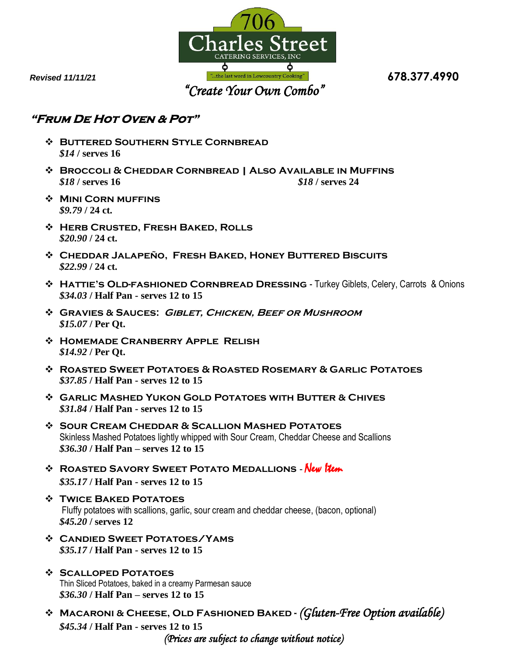

## **"Frum De Hot Oven & Pot"**

- **Buttered Southern Style Cornbread**  *\$14* **/ serves 16**
- **Broccoli & Cheddar Cornbread | Also Available in Muffins** *\$18* **/ serves 16** *\$18* **/ serves 24**
- **Mini Corn muffins**  *\$9.79* **/ 24 ct.**
- **Herb Crusted, Fresh Baked, Rolls** *\$20.90* **/ 24 ct.**
- **Cheddar Jalapeño, Fresh Baked, Honey Buttered Biscuits** *\$22.99* **/ 24 ct.**
- **\* HATTIE'S OLD-FASHIONED CORNBREAD DRESSING** Turkey Giblets, Celery, Carrots & Onions *\$34.03* **/ Half Pan - serves 12 to 15**
- **Gravies & Sauces: Giblet, Chicken, Beef or Mushroom**  *\$15.07* **/ Per Qt.**
- **Homemade Cranberry Apple Relish** *\$14.92* **/ Per Qt.**
- **Roasted Sweet Potatoes & Roasted Rosemary & Garlic Potatoes**  *\$37.85* **/ Half Pan - serves 12 to 15**
- **Garlic Mashed Yukon Gold Potatoes with Butter & Chives** *\$31.84* **/ Half Pan - serves 12 to 15**
- **Sour Cream Cheddar & Scallion Mashed Potatoes** Skinless Mashed Potatoes lightly whipped with Sour Cream, Cheddar Cheese and Scallions *\$36.30* **/ Half Pan – serves 12 to 15**
- **Roasted Savory Sweet Potato Medallions -** New Item *\$35.17* **/ Half Pan - serves 12 to 15**
- **Twice Baked Potatoes**  Fluffy potatoes with scallions, garlic, sour cream and cheddar cheese, (bacon, optional) *\$45.20* **/ serves 12**
- **Candied Sweet Potatoes/Yams** *\$35.17* **/ Half Pan - serves 12 to 15**
- **Scalloped Potatoes** Thin Sliced Potatoes, baked in a creamy Parmesan sauce *\$36.30* **/ Half Pan – serves 12 to 15**
- **Macaroni & Cheese, Old Fashioned Baked -** *(Gluten-Free Option available) \$45.34* **/ Half Pan - serves 12 to 15** *(Prices are subject to change without notice)*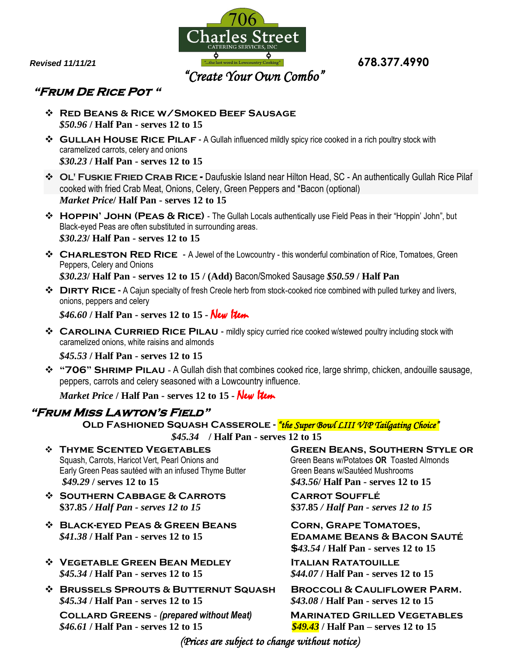

## **"Frum De Rice Pot "**

- **Red Beans & Rice w/Smoked Beef Sausage** *\$50.96* **/ Half Pan - serves 12 to 15**
- $\diamond$  GULLAH HOUSE RICE PILAF A Gullah influenced mildly spicy rice cooked in a rich poultry stock with caramelized carrots, celery and onions *\$30.23* **/ Half Pan - serves 12 to 15**
- **Ol' Fuskie Fried Crab Rice** *-* Daufuskie Island near Hilton Head, SC An authentically Gullah Rice Pilaf cooked with fried Crab Meat, Onions, Celery, Green Peppers and \*Bacon (optional) *Market Price***/ Half Pan - serves 12 to 15**
- **Hoppin' John (Peas & Rice)** The Gullah Locals authentically use Field Peas in their "Hoppin' John", but Black-eyed Peas are often substituted in surrounding areas. *\$30.23***/ Half Pan - serves 12 to 15**
- **CHARLESTON RED RICE** A Jewel of the Lowcountry this wonderful combination of Rice, Tomatoes, Green Peppers, Celery and Onions *\$30.23***/ Half Pan - serves 12 to 15 / (Add)** Bacon/Smoked Sausage *\$50.59* **/ Half Pan**
- **Dirty Rice -** A Cajun specialty of fresh Creole herb from stock-cooked rice combined with pulled turkey and livers, onions, peppers and celery

*\$46.60* **/ Half Pan - serves 12 to 15 -** New Item

**CAROLINA CURRIED RICE PILAU** - mildly spicy curried rice cooked w/stewed poultry including stock with caramelized onions, white raisins and almonds

*\$45.53* **/ Half Pan - serves 12 to 15**

**\*** "706" SHRIMP PILAU - A Gullah dish that combines cooked rice, large shrimp, chicken, andouille sausage, peppers, carrots and celery seasoned with a Lowcountry influence.

*Market Price* **/ Half Pan - serves 12 to 15 -** New Item

#### **"Frum Miss Lawton's Field"**

**Old Fashioned Squash Casserole -** *"the Super Bowl LIII VIP Tailgating Choice" \$45.34* **/ Half Pan - serves 12 to 15** 

- Squash, Carrots, Haricot Vert, Pearl Onions and Green Beans w/Potatoes OR Toasted Almonds Early Green Peas sautéed with an infused Thyme Butter Green Beans w/Sautéed Mushrooms *\$49.29* **/ serves 12 to 15** *\$43.56***/ Half Pan - serves 12 to 15**
- **Southern Cabbage & Carrots Carrot Soufflé \$37.85** */ Half Pan - serves 12 to 15* **\$37.85** */ Half Pan - serves 12 to 15*
- **Black-eyed Peas & Green Beans Corn, Grape Tomatoes,** *\$41.38* **/ Half Pan - serves 12 to 15 Edamame Beans & Bacon Sauté**
- **Vegetable Green Bean Medley Italian Ratatouille** *\$45.34* **/ Half Pan - serves 12 to 15** *\$44.07* **/ Half Pan - serves 12 to 15**
- **Brussels Sprouts & Butternut Squash Broccoli & Cauliflower Parm.** *\$45.34* **/ Half Pan - serves 12 to 15** *\$43.08* **/ Half Pan - serves 12 to 15**

*\$46.61* **/ Half Pan - serves 12 to 15** *\$49.43* **/ Half Pan – serves 12 to 15**

**GREEN BEANS, SOUTHERN STYLE OR** 

 **\$***43.54* **/ Half Pan - serves 12 to 15**

**Collard Greens** - *(prepared without Meat)* **Marinated Grilled Vegetables**